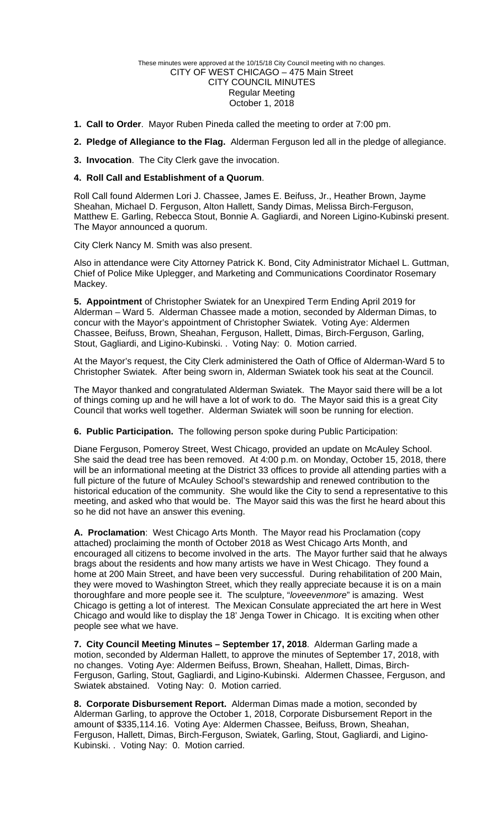### These minutes were approved at the 10/15/18 City Council meeting with no changes. CITY OF WEST CHICAGO – 475 Main Street CITY COUNCIL MINUTES Regular Meeting October 1, 2018

- **1. Call to Order**. Mayor Ruben Pineda called the meeting to order at 7:00 pm.
- **2. Pledge of Allegiance to the Flag.** Alderman Ferguson led all in the pledge of allegiance.
- **3. Invocation**. The City Clerk gave the invocation.

# **4. Roll Call and Establishment of a Quorum**.

Roll Call found Aldermen Lori J. Chassee, James E. Beifuss, Jr., Heather Brown, Jayme Sheahan, Michael D. Ferguson, Alton Hallett, Sandy Dimas, Melissa Birch-Ferguson, Matthew E. Garling, Rebecca Stout, Bonnie A. Gagliardi, and Noreen Ligino-Kubinski present. The Mayor announced a quorum.

City Clerk Nancy M. Smith was also present.

Also in attendance were City Attorney Patrick K. Bond, City Administrator Michael L. Guttman, Chief of Police Mike Uplegger, and Marketing and Communications Coordinator Rosemary Mackey.

**5. Appointment** of Christopher Swiatek for an Unexpired Term Ending April 2019 for Alderman – Ward 5. Alderman Chassee made a motion, seconded by Alderman Dimas, to concur with the Mayor's appointment of Christopher Swiatek. Voting Aye: Aldermen Chassee, Beifuss, Brown, Sheahan, Ferguson, Hallett, Dimas, Birch-Ferguson, Garling, Stout, Gagliardi, and Ligino-Kubinski. . Voting Nay: 0. Motion carried.

At the Mayor's request, the City Clerk administered the Oath of Office of Alderman-Ward 5 to Christopher Swiatek. After being sworn in, Alderman Swiatek took his seat at the Council.

The Mayor thanked and congratulated Alderman Swiatek. The Mayor said there will be a lot of things coming up and he will have a lot of work to do. The Mayor said this is a great City Council that works well together. Alderman Swiatek will soon be running for election.

**6. Public Participation.** The following person spoke during Public Participation:

Diane Ferguson, Pomeroy Street, West Chicago, provided an update on McAuley School. She said the dead tree has been removed. At 4:00 p.m. on Monday, October 15, 2018, there will be an informational meeting at the District 33 offices to provide all attending parties with a full picture of the future of McAuley School's stewardship and renewed contribution to the historical education of the community. She would like the City to send a representative to this meeting, and asked who that would be. The Mayor said this was the first he heard about this so he did not have an answer this evening.

**A. Proclamation**: West Chicago Arts Month. The Mayor read his Proclamation (copy attached) proclaiming the month of October 2018 as West Chicago Arts Month, and encouraged all citizens to become involved in the arts. The Mayor further said that he always brags about the residents and how many artists we have in West Chicago. They found a home at 200 Main Street, and have been very successful. During rehabilitation of 200 Main, they were moved to Washington Street, which they really appreciate because it is on a main thoroughfare and more people see it. The sculpture, "*loveevenmore*" is amazing. West Chicago is getting a lot of interest. The Mexican Consulate appreciated the art here in West Chicago and would like to display the 18' Jenga Tower in Chicago. It is exciting when other people see what we have.

**7. City Council Meeting Minutes – September 17, 2018**. Alderman Garling made a motion, seconded by Alderman Hallett, to approve the minutes of September 17, 2018, with no changes. Voting Aye: Aldermen Beifuss, Brown, Sheahan, Hallett, Dimas, Birch-Ferguson, Garling, Stout, Gagliardi, and Ligino-Kubinski. Aldermen Chassee, Ferguson, and Swiatek abstained. Voting Nay: 0. Motion carried.

**8. Corporate Disbursement Report.** Alderman Dimas made a motion, seconded by Alderman Garling, to approve the October 1, 2018, Corporate Disbursement Report in the amount of \$335,114.16. Voting Aye: Aldermen Chassee, Beifuss, Brown, Sheahan, Ferguson, Hallett, Dimas, Birch-Ferguson, Swiatek, Garling, Stout, Gagliardi, and Ligino-Kubinski. . Voting Nay: 0. Motion carried.